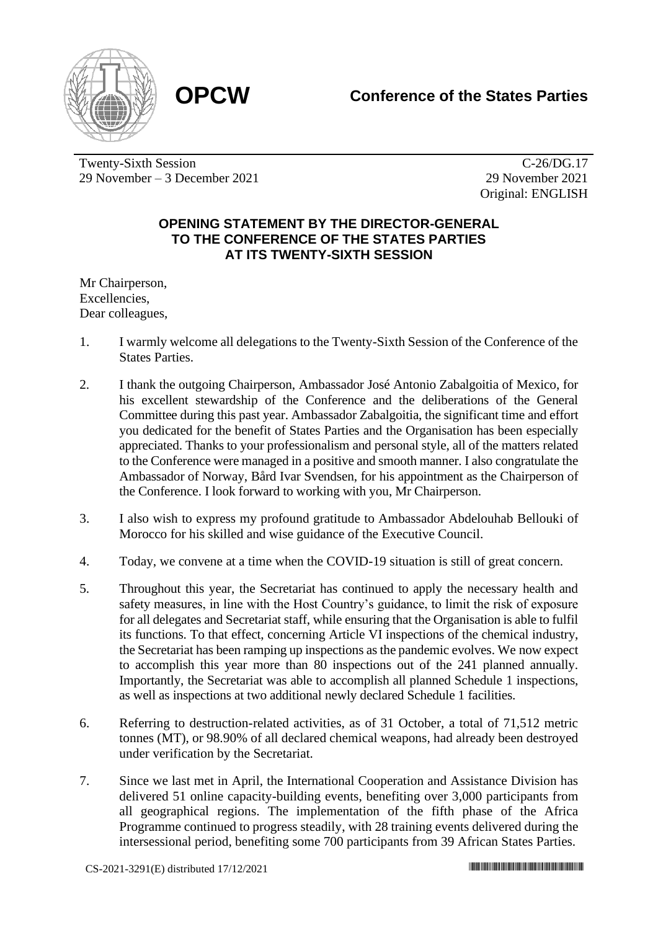## **OPCW Conference of the States Parties**



Twenty-Sixth Session 29 November – 3 December 2021

C-26/DG.17 29 November 2021 Original: ENGLISH

## **OPENING STATEMENT BY THE DIRECTOR-GENERAL TO THE CONFERENCE OF THE STATES PARTIES AT ITS TWENTY-SIXTH SESSION**

Mr Chairperson, Excellencies, Dear colleagues,

- 1. I warmly welcome all delegations to the Twenty-Sixth Session of the Conference of the States Parties.
- 2. I thank the outgoing Chairperson, Ambassador José Antonio Zabalgoitia of Mexico, for his excellent stewardship of the Conference and the deliberations of the General Committee during this past year. Ambassador Zabalgoitia, the significant time and effort you dedicated for the benefit of States Parties and the Organisation has been especially appreciated. Thanks to your professionalism and personal style, all of the matters related to the Conference were managed in a positive and smooth manner. I also congratulate the Ambassador of Norway, Bård Ivar Svendsen, for his appointment as the Chairperson of the Conference. I look forward to working with you, Mr Chairperson.
- 3. I also wish to express my profound gratitude to Ambassador Abdelouhab Bellouki of Morocco for his skilled and wise guidance of the Executive Council.
- 4. Today, we convene at a time when the COVID-19 situation is still of great concern.
- 5. Throughout this year, the Secretariat has continued to apply the necessary health and safety measures, in line with the Host Country's guidance, to limit the risk of exposure for all delegates and Secretariat staff, while ensuring that the Organisation is able to fulfil its functions. To that effect, concerning Article VI inspections of the chemical industry, the Secretariat has been ramping up inspections as the pandemic evolves. We now expect to accomplish this year more than 80 inspections out of the 241 planned annually. Importantly, the Secretariat was able to accomplish all planned Schedule 1 inspections, as well as inspections at two additional newly declared Schedule 1 facilities.
- 6. Referring to destruction-related activities, as of 31 October, a total of 71,512 metric tonnes (MT), or 98.90% of all declared chemical weapons, had already been destroyed under verification by the Secretariat.
- 7. Since we last met in April, the International Cooperation and Assistance Division has delivered 51 online capacity-building events, benefiting over 3,000 participants from all geographical regions. The implementation of the fifth phase of the Africa Programme continued to progress steadily, with 28 training events delivered during the intersessional period, benefiting some 700 participants from 39 African States Parties.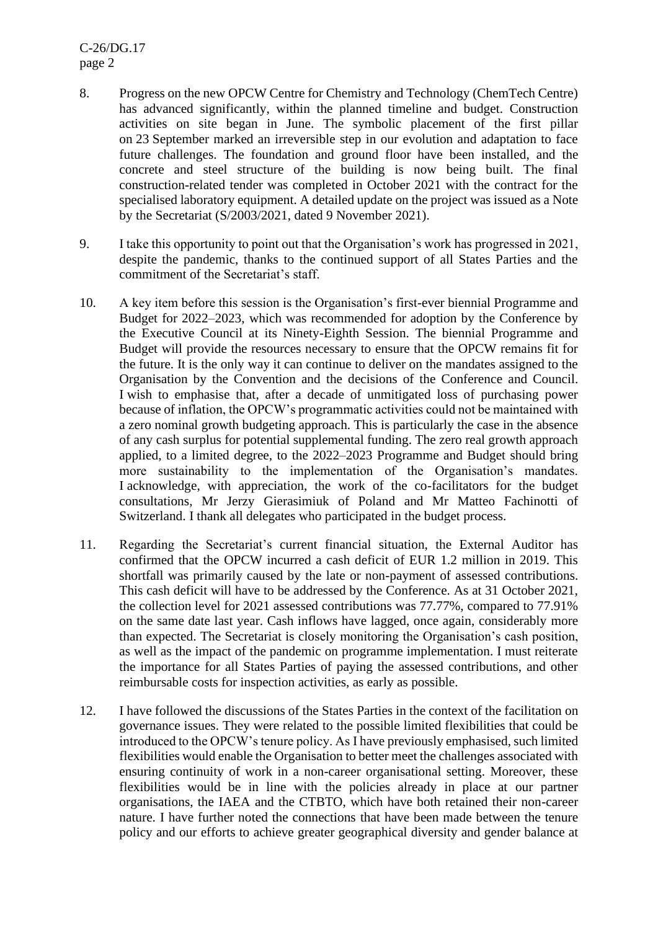C-26/DG.17 page 2

- 8. Progress on the new OPCW Centre for Chemistry and Technology (ChemTech Centre) has advanced significantly, within the planned timeline and budget. Construction activities on site began in June. The symbolic placement of the first pillar on 23 September marked an irreversible step in our evolution and adaptation to face future challenges. The foundation and ground floor have been installed, and the concrete and steel structure of the building is now being built. The final construction-related tender was completed in October 2021 with the contract for the specialised laboratory equipment. A detailed update on the project was issued as a Note by the Secretariat (S/2003/2021, dated 9 November 2021).
- 9. I take this opportunity to point out that the Organisation's work has progressed in 2021, despite the pandemic, thanks to the continued support of all States Parties and the commitment of the Secretariat's staff.
- 10. A key item before this session is the Organisation's first-ever biennial Programme and Budget for 2022–2023, which was recommended for adoption by the Conference by the Executive Council at its Ninety-Eighth Session. The biennial Programme and Budget will provide the resources necessary to ensure that the OPCW remains fit for the future. It is the only way it can continue to deliver on the mandates assigned to the Organisation by the Convention and the decisions of the Conference and Council. I wish to emphasise that, after a decade of unmitigated loss of purchasing power because of inflation, the OPCW's programmatic activities could not be maintained with a zero nominal growth budgeting approach. This is particularly the case in the absence of any cash surplus for potential supplemental funding. The zero real growth approach applied, to a limited degree, to the 2022–2023 Programme and Budget should bring more sustainability to the implementation of the Organisation's mandates. I acknowledge, with appreciation, the work of the co-facilitators for the budget consultations, Mr Jerzy Gierasimiuk of Poland and Mr Matteo Fachinotti of Switzerland. I thank all delegates who participated in the budget process.
- 11. Regarding the Secretariat's current financial situation, the External Auditor has confirmed that the OPCW incurred a cash deficit of EUR 1.2 million in 2019. This shortfall was primarily caused by the late or non-payment of assessed contributions. This cash deficit will have to be addressed by the Conference. As at 31 October 2021, the collection level for 2021 assessed contributions was 77.77%, compared to 77.91% on the same date last year. Cash inflows have lagged, once again, considerably more than expected. The Secretariat is closely monitoring the Organisation's cash position, as well as the impact of the pandemic on programme implementation. I must reiterate the importance for all States Parties of paying the assessed contributions, and other reimbursable costs for inspection activities, as early as possible.
- 12. I have followed the discussions of the States Parties in the context of the facilitation on governance issues. They were related to the possible limited flexibilities that could be introduced to the OPCW's tenure policy. As I have previously emphasised, such limited flexibilities would enable the Organisation to better meet the challenges associated with ensuring continuity of work in a non-career organisational setting. Moreover, these flexibilities would be in line with the policies already in place at our partner organisations, the IAEA and the CTBTO, which have both retained their non-career nature. I have further noted the connections that have been made between the tenure policy and our efforts to achieve greater geographical diversity and gender balance at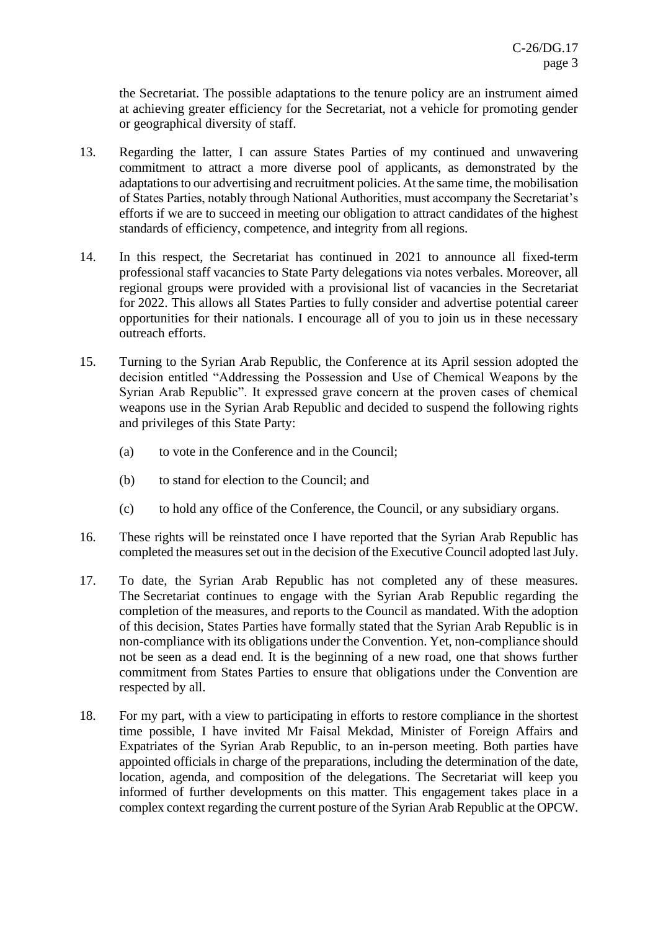the Secretariat. The possible adaptations to the tenure policy are an instrument aimed at achieving greater efficiency for the Secretariat, not a vehicle for promoting gender or geographical diversity of staff.

- 13. Regarding the latter, I can assure States Parties of my continued and unwavering commitment to attract a more diverse pool of applicants, as demonstrated by the adaptations to our advertising and recruitment policies. At the same time, the mobilisation of States Parties, notably through National Authorities, must accompany the Secretariat's efforts if we are to succeed in meeting our obligation to attract candidates of the highest standards of efficiency, competence, and integrity from all regions.
- 14. In this respect, the Secretariat has continued in 2021 to announce all fixed-term professional staff vacancies to State Party delegations via notes verbales. Moreover, all regional groups were provided with a provisional list of vacancies in the Secretariat for 2022. This allows all States Parties to fully consider and advertise potential career opportunities for their nationals. I encourage all of you to join us in these necessary outreach efforts.
- 15. Turning to the Syrian Arab Republic, the Conference at its April session adopted the decision entitled "Addressing the Possession and Use of Chemical Weapons by the Syrian Arab Republic". It expressed grave concern at the proven cases of chemical weapons use in the Syrian Arab Republic and decided to suspend the following rights and privileges of this State Party:
	- (a) to vote in the Conference and in the Council;
	- (b) to stand for election to the Council; and
	- (c) to hold any office of the Conference, the Council, or any subsidiary organs.
- 16. These rights will be reinstated once I have reported that the Syrian Arab Republic has completed the measures set out in the decision of the Executive Council adopted last July.
- 17. To date, the Syrian Arab Republic has not completed any of these measures. The Secretariat continues to engage with the Syrian Arab Republic regarding the completion of the measures, and reports to the Council as mandated. With the adoption of this decision, States Parties have formally stated that the Syrian Arab Republic is in non-compliance with its obligations under the Convention. Yet, non-compliance should not be seen as a dead end. It is the beginning of a new road, one that shows further commitment from States Parties to ensure that obligations under the Convention are respected by all.
- 18. For my part, with a view to participating in efforts to restore compliance in the shortest time possible, I have invited Mr Faisal Mekdad, Minister of Foreign Affairs and Expatriates of the Syrian Arab Republic, to an in-person meeting. Both parties have appointed officials in charge of the preparations, including the determination of the date, location, agenda, and composition of the delegations. The Secretariat will keep you informed of further developments on this matter. This engagement takes place in a complex context regarding the current posture of the Syrian Arab Republic at the OPCW.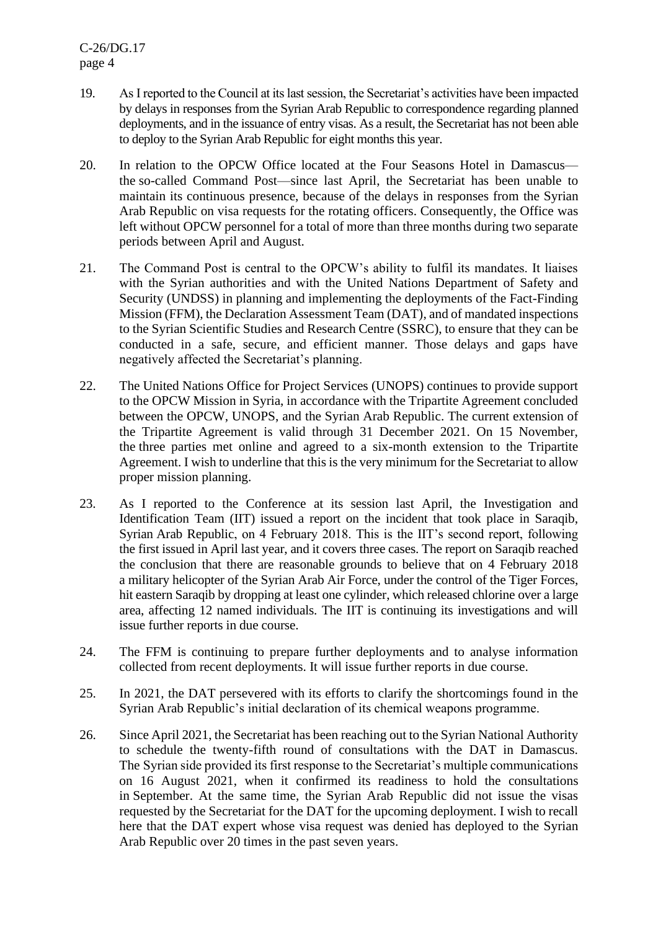- 19. As I reported to the Council at its last session, the Secretariat's activities have been impacted by delays in responses from the Syrian Arab Republic to correspondence regarding planned deployments, and in the issuance of entry visas. As a result, the Secretariat has not been able to deploy to the Syrian Arab Republic for eight months this year.
- 20. In relation to the OPCW Office located at the Four Seasons Hotel in Damascus the so-called Command Post—since last April, the Secretariat has been unable to maintain its continuous presence, because of the delays in responses from the Syrian Arab Republic on visa requests for the rotating officers. Consequently, the Office was left without OPCW personnel for a total of more than three months during two separate periods between April and August.
- 21. The Command Post is central to the OPCW's ability to fulfil its mandates. It liaises with the Syrian authorities and with the United Nations Department of Safety and Security (UNDSS) in planning and implementing the deployments of the Fact-Finding Mission (FFM), the Declaration Assessment Team (DAT), and of mandated inspections to the Syrian Scientific Studies and Research Centre (SSRC), to ensure that they can be conducted in a safe, secure, and efficient manner. Those delays and gaps have negatively affected the Secretariat's planning.
- 22. The United Nations Office for Project Services (UNOPS) continues to provide support to the OPCW Mission in Syria, in accordance with the Tripartite Agreement concluded between the OPCW, UNOPS, and the Syrian Arab Republic. The current extension of the Tripartite Agreement is valid through 31 December 2021. On 15 November, the three parties met online and agreed to a six-month extension to the Tripartite Agreement. I wish to underline that this is the very minimum for the Secretariat to allow proper mission planning.
- 23. As I reported to the Conference at its session last April, the Investigation and Identification Team (IIT) issued a report on the incident that took place in Saraqib, Syrian Arab Republic, on 4 February 2018. This is the IIT's second report, following the first issued in April last year, and it covers three cases. The report on Saraqib reached the conclusion that there are reasonable grounds to believe that on 4 February 2018 a military helicopter of the Syrian Arab Air Force, under the control of the Tiger Forces, hit eastern Saraqib by dropping at least one cylinder, which released chlorine over a large area, affecting 12 named individuals. The IIT is continuing its investigations and will issue further reports in due course.
- 24. The FFM is continuing to prepare further deployments and to analyse information collected from recent deployments. It will issue further reports in due course.
- 25. In 2021, the DAT persevered with its efforts to clarify the shortcomings found in the Syrian Arab Republic's initial declaration of its chemical weapons programme.
- 26. Since April 2021, the Secretariat has been reaching out to the Syrian National Authority to schedule the twenty-fifth round of consultations with the DAT in Damascus. The Syrian side provided its first response to the Secretariat's multiple communications on 16 August 2021, when it confirmed its readiness to hold the consultations in September. At the same time, the Syrian Arab Republic did not issue the visas requested by the Secretariat for the DAT for the upcoming deployment. I wish to recall here that the DAT expert whose visa request was denied has deployed to the Syrian Arab Republic over 20 times in the past seven years.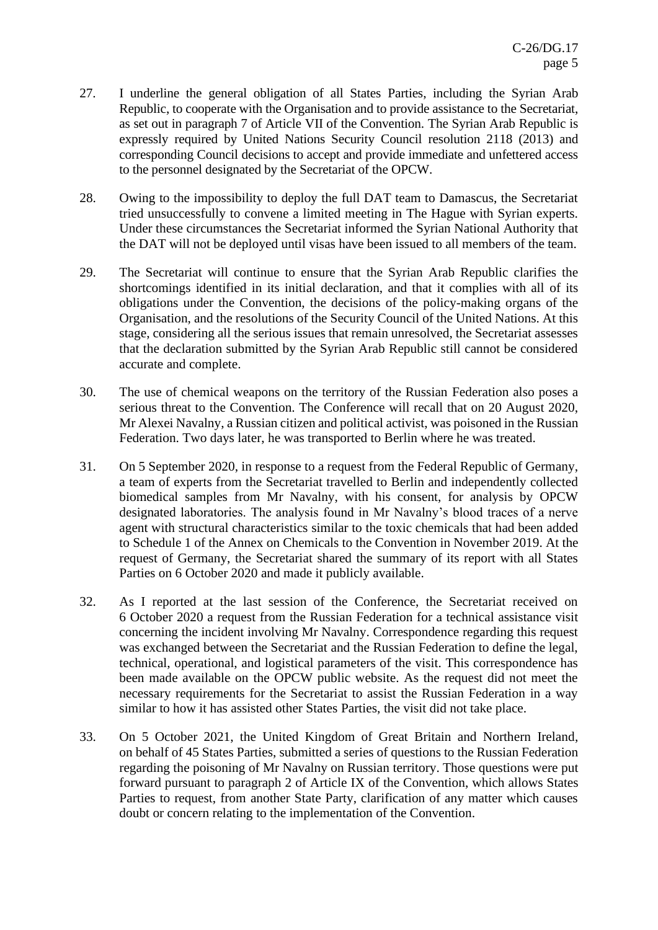- 27. I underline the general obligation of all States Parties, including the Syrian Arab Republic, to cooperate with the Organisation and to provide assistance to the Secretariat, as set out in paragraph 7 of Article VII of the Convention. The Syrian Arab Republic is expressly required by United Nations Security Council resolution 2118 (2013) and corresponding Council decisions to accept and provide immediate and unfettered access to the personnel designated by the Secretariat of the OPCW.
- 28. Owing to the impossibility to deploy the full DAT team to Damascus, the Secretariat tried unsuccessfully to convene a limited meeting in The Hague with Syrian experts. Under these circumstances the Secretariat informed the Syrian National Authority that the DAT will not be deployed until visas have been issued to all members of the team.
- 29. The Secretariat will continue to ensure that the Syrian Arab Republic clarifies the shortcomings identified in its initial declaration, and that it complies with all of its obligations under the Convention, the decisions of the policy-making organs of the Organisation, and the resolutions of the Security Council of the United Nations. At this stage, considering all the serious issues that remain unresolved, the Secretariat assesses that the declaration submitted by the Syrian Arab Republic still cannot be considered accurate and complete.
- 30. The use of chemical weapons on the territory of the Russian Federation also poses a serious threat to the Convention. The Conference will recall that on 20 August 2020, Mr Alexei Navalny, a Russian citizen and political activist, was poisoned in the Russian Federation. Two days later, he was transported to Berlin where he was treated.
- 31. On 5 September 2020, in response to a request from the Federal Republic of Germany, a team of experts from the Secretariat travelled to Berlin and independently collected biomedical samples from Mr Navalny, with his consent, for analysis by OPCW designated laboratories. The analysis found in Mr Navalny's blood traces of a nerve agent with structural characteristics similar to the toxic chemicals that had been added to Schedule 1 of the Annex on Chemicals to the Convention in November 2019. At the request of Germany, the Secretariat shared the summary of its report with all States Parties on 6 October 2020 and made it publicly available.
- 32. As I reported at the last session of the Conference, the Secretariat received on 6 October 2020 a request from the Russian Federation for a technical assistance visit concerning the incident involving Mr Navalny. Correspondence regarding this request was exchanged between the Secretariat and the Russian Federation to define the legal, technical, operational, and logistical parameters of the visit. This correspondence has been made available on the OPCW public website. As the request did not meet the necessary requirements for the Secretariat to assist the Russian Federation in a way similar to how it has assisted other States Parties, the visit did not take place.
- 33. On 5 October 2021, the United Kingdom of Great Britain and Northern Ireland, on behalf of 45 States Parties, submitted a series of questions to the Russian Federation regarding the poisoning of Mr Navalny on Russian territory. Those questions were put forward pursuant to paragraph 2 of Article IX of the Convention, which allows States Parties to request, from another State Party, clarification of any matter which causes doubt or concern relating to the implementation of the Convention.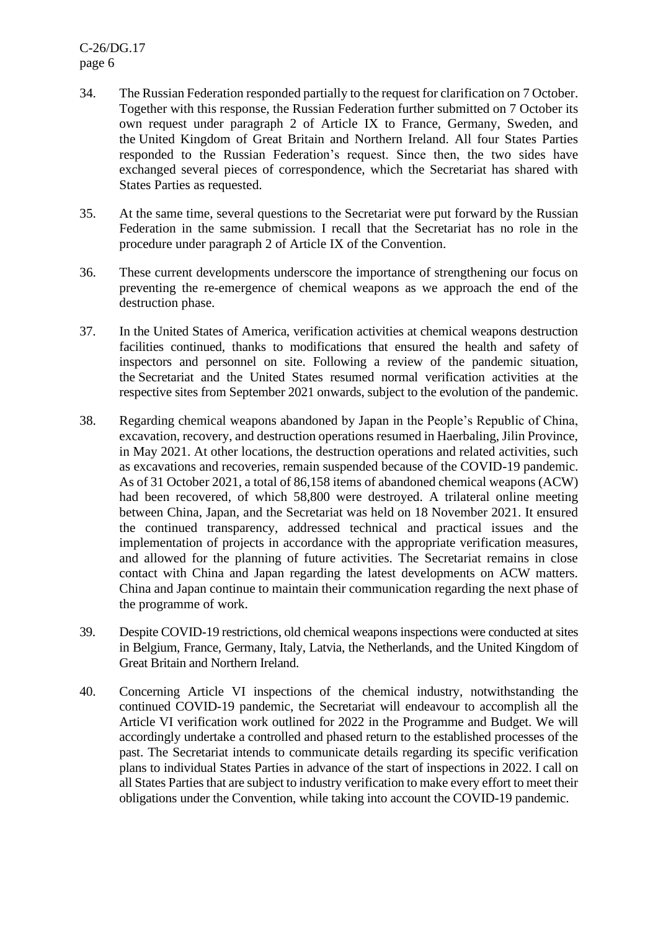C-26/DG.17 page 6

- 34. The Russian Federation responded partially to the request for clarification on 7 October. Together with this response, the Russian Federation further submitted on 7 October its own request under paragraph 2 of Article IX to France, Germany, Sweden, and the United Kingdom of Great Britain and Northern Ireland. All four States Parties responded to the Russian Federation's request. Since then, the two sides have exchanged several pieces of correspondence, which the Secretariat has shared with States Parties as requested.
- 35. At the same time, several questions to the Secretariat were put forward by the Russian Federation in the same submission. I recall that the Secretariat has no role in the procedure under paragraph 2 of Article IX of the Convention.
- 36. These current developments underscore the importance of strengthening our focus on preventing the re-emergence of chemical weapons as we approach the end of the destruction phase.
- 37. In the United States of America, verification activities at chemical weapons destruction facilities continued, thanks to modifications that ensured the health and safety of inspectors and personnel on site. Following a review of the pandemic situation, the Secretariat and the United States resumed normal verification activities at the respective sites from September 2021 onwards, subject to the evolution of the pandemic.
- 38. Regarding chemical weapons abandoned by Japan in the People's Republic of China, excavation, recovery, and destruction operations resumed in Haerbaling, Jilin Province, in May 2021. At other locations, the destruction operations and related activities, such as excavations and recoveries, remain suspended because of the COVID-19 pandemic. As of 31 October 2021, a total of 86,158 items of abandoned chemical weapons (ACW) had been recovered, of which 58,800 were destroyed. A trilateral online meeting between China, Japan, and the Secretariat was held on 18 November 2021. It ensured the continued transparency, addressed technical and practical issues and the implementation of projects in accordance with the appropriate verification measures, and allowed for the planning of future activities. The Secretariat remains in close contact with China and Japan regarding the latest developments on ACW matters. China and Japan continue to maintain their communication regarding the next phase of the programme of work.
- 39. Despite COVID-19 restrictions, old chemical weapons inspections were conducted at sites in Belgium, France, Germany, Italy, Latvia, the Netherlands, and the United Kingdom of Great Britain and Northern Ireland.
- 40. Concerning Article VI inspections of the chemical industry, notwithstanding the continued COVID-19 pandemic, the Secretariat will endeavour to accomplish all the Article VI verification work outlined for 2022 in the Programme and Budget. We will accordingly undertake a controlled and phased return to the established processes of the past. The Secretariat intends to communicate details regarding its specific verification plans to individual States Parties in advance of the start of inspections in 2022. I call on all States Parties that are subject to industry verification to make every effort to meet their obligations under the Convention, while taking into account the COVID-19 pandemic.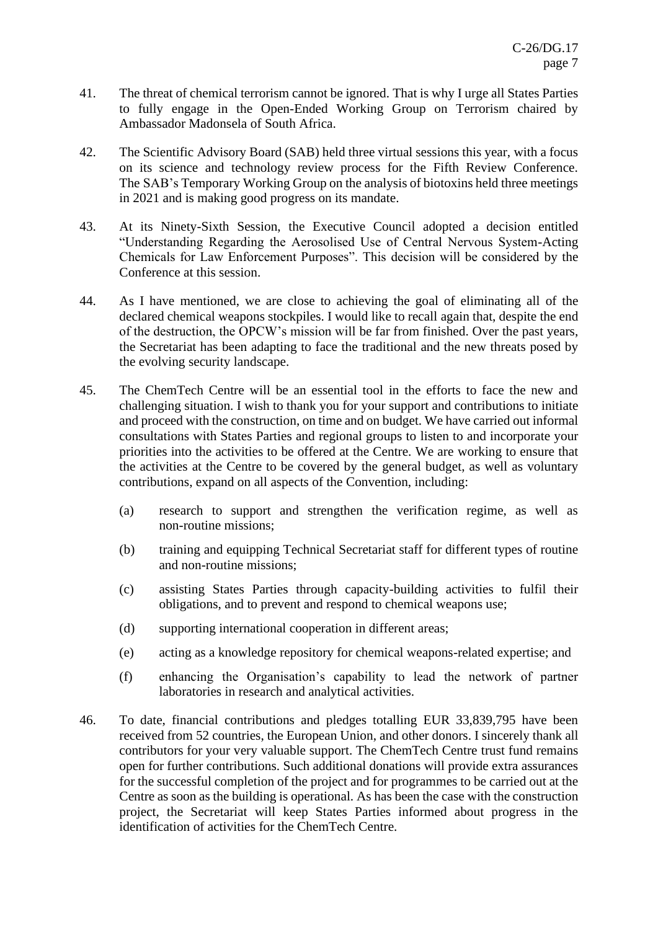- 41. The threat of chemical terrorism cannot be ignored. That is why I urge all States Parties to fully engage in the Open-Ended Working Group on Terrorism chaired by Ambassador Madonsela of South Africa.
- 42. The Scientific Advisory Board (SAB) held three virtual sessions this year, with a focus on its science and technology review process for the Fifth Review Conference. The SAB's Temporary Working Group on the analysis of biotoxins held three meetings in 2021 and is making good progress on its mandate.
- 43. At its Ninety-Sixth Session, the Executive Council adopted a decision entitled "Understanding Regarding the Aerosolised Use of Central Nervous System-Acting Chemicals for Law Enforcement Purposes". This decision will be considered by the Conference at this session.
- 44. As I have mentioned, we are close to achieving the goal of eliminating all of the declared chemical weapons stockpiles. I would like to recall again that, despite the end of the destruction, the OPCW's mission will be far from finished. Over the past years, the Secretariat has been adapting to face the traditional and the new threats posed by the evolving security landscape.
- 45. The ChemTech Centre will be an essential tool in the efforts to face the new and challenging situation. I wish to thank you for your support and contributions to initiate and proceed with the construction, on time and on budget. We have carried out informal consultations with States Parties and regional groups to listen to and incorporate your priorities into the activities to be offered at the Centre. We are working to ensure that the activities at the Centre to be covered by the general budget, as well as voluntary contributions, expand on all aspects of the Convention, including:
	- (a) research to support and strengthen the verification regime, as well as non-routine missions;
	- (b) training and equipping Technical Secretariat staff for different types of routine and non-routine missions;
	- (c) assisting States Parties through capacity-building activities to fulfil their obligations, and to prevent and respond to chemical weapons use;
	- (d) supporting international cooperation in different areas;
	- (e) acting as a knowledge repository for chemical weapons-related expertise; and
	- (f) enhancing the Organisation's capability to lead the network of partner laboratories in research and analytical activities.
- 46. To date, financial contributions and pledges totalling EUR 33,839,795 have been received from 52 countries, the European Union, and other donors. I sincerely thank all contributors for your very valuable support. The ChemTech Centre trust fund remains open for further contributions. Such additional donations will provide extra assurances for the successful completion of the project and for programmes to be carried out at the Centre as soon as the building is operational. As has been the case with the construction project, the Secretariat will keep States Parties informed about progress in the identification of activities for the ChemTech Centre.